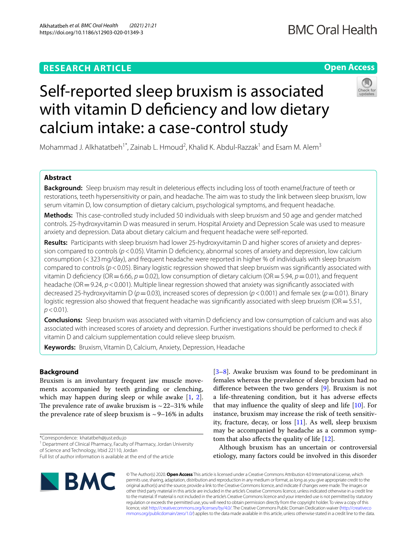Alkhatatbeh *et al. BMC Oral Health (2021) 21:21*  https://doi.org/10.1186/s12903-020-01349-3

# **RESEARCH ARTICLE** Self-reported sleep bruxism is associated

with vitamin D deficiency and low dietary calcium intake: a case-control study

Mohammad J. Alkhatatbeh<sup>1\*</sup>, Zainab L. Hmoud<sup>2</sup>, Khalid K. Abdul-Razzak<sup>1</sup> and Esam M. Alem<sup>3</sup>

# **Abstract**

**Background:** Sleep bruxism may result in deleterious efects including loss of tooth enamel,fracture of teeth or restorations, teeth hypersensitivity or pain, and headache. The aim was to study the link between sleep bruxism, low serum vitamin D, low consumption of dietary calcium, psychological symptoms, and frequent headache.

**Methods:** This case-controlled study included 50 individuals with sleep bruxism and 50 age and gender matched controls. 25-hydroxyvitamin D was measured in serum. Hospital Anxiety and Depression Scale was used to measure anxiety and depression. Data about dietary calcium and frequent headache were self-reported.

**Results:** Participants with sleep bruxism had lower 25-hydroxyvitamin D and higher scores of anxiety and depres‑ sion compared to controls (*p*<0.05). Vitamin D defciency, abnormal scores of anxiety and depression, low calcium consumption (<323mg/day), and frequent headache were reported in higher % of individuals with sleep bruxism compared to controls ( $p$ <0.05). Binary logistic regression showed that sleep bruxism was significantly associated with vitamin D defciency (OR=6.66, *p*=0.02), low consumption of dietary calcium (OR=5.94, *p*=0.01), and frequent headache (OR = 9.24, *p* < 0.001). Multiple linear regression showed that anxiety was significantly associated with decreased 25-hydroxyvitamin D (*p*=0.03), increased scores of depression (*p*<0.001) and female sex (*p*=0.01). Binary logistic regression also showed that frequent headache was significantly associated with sleep bruxism ( $OR = 5.51$ ,  $p < 0.01$ ).

**Conclusions:** Sleep bruxism was associated with vitamin D deficiency and low consumption of calcium and was also associated with increased scores of anxiety and depression. Further investigations should be performed to check if vitamin D and calcium supplementation could relieve sleep bruxism.

**Keywords:** Bruxism, Vitamin D, Calcium, Anxiety, Depression, Headache

# **Background**

Bruxism is an involuntary frequent jaw muscle movements accompanied by teeth grinding or clenching, which may happen during sleep or while awake [[1,](#page-9-0) [2](#page-9-1)]. The prevalence rate of awake bruxism is  $\sim$  22–31% while the prevalence rate of sleep bruxism is  $\sim$  9–16% in adults

\*Correspondence: khatatbeh@just.edu.jo

<sup>1</sup> Department of Clinical Pharmacy, Faculty of Pharmacy, Jordan University of Science and Technology, Irbid 22110, Jordan

[[3–](#page-9-2)[8\]](#page-9-3). Awake bruxism was found to be predominant in females whereas the prevalence of sleep bruxism had no diference between the two genders [[9\]](#page-9-4). Bruxism is not a life-threatening condition, but it has adverse efects that may influence the quality of sleep and life  $[10]$  $[10]$ . For instance, bruxism may increase the risk of teeth sensitivity, fracture, decay, or loss [\[11](#page-9-6)]. As well, sleep bruxism may be accompanied by headache as a common symptom that also afects the quality of life [\[12](#page-9-7)].

Although bruxism has an uncertain or controversial etiology, many factors could be involved in this disorder

© The Author(s) 2020. **Open Access** This article is licensed under a Creative Commons Attribution 4.0 International License, which permits use, sharing, adaptation, distribution and reproduction in any medium or format, as long as you give appropriate credit to the original author(s) and the source, provide a link to the Creative Commons licence, and indicate if changes were made. The images or other third party material in this article are included in the article's Creative Commons licence, unless indicated otherwise in a credit line to the material. If material is not included in the article's Creative Commons licence and your intended use is not permitted by statutory regulation or exceeds the permitted use, you will need to obtain permission directly from the copyright holder. To view a copy of this licence, visit [http://creativecommons.org/licenses/by/4.0/.](http://creativecommons.org/licenses/by/4.0/) The Creative Commons Public Domain Dedication waiver ([http://creativeco](http://creativecommons.org/publicdomain/zero/1.0/) [mmons.org/publicdomain/zero/1.0/](http://creativecommons.org/publicdomain/zero/1.0/)) applies to the data made available in this article, unless otherwise stated in a credit line to the data.





**Open Access**

Full list of author information is available at the end of the article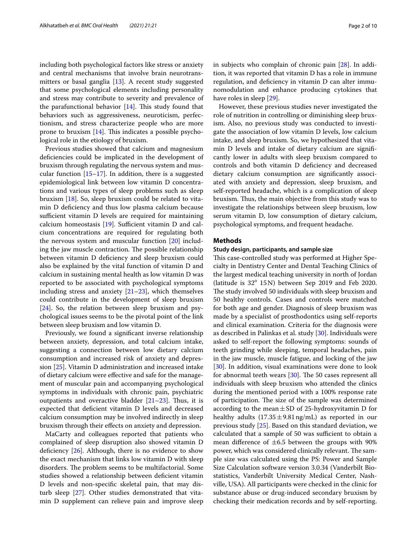including both psychological factors like stress or anxiety and central mechanisms that involve brain neurotransmitters or basal ganglia [\[13](#page-9-8)]. A recent study suggested that some psychological elements including personality and stress may contribute to severity and prevalence of the parafunctional behavior  $[14]$  $[14]$ . This study found that behaviors such as aggressiveness, neuroticism, perfectionism, and stress characterize people who are more prone to bruxism  $[14]$  $[14]$ . This indicates a possible psychological role in the etiology of bruxism.

Previous studies showed that calcium and magnesium defciencies could be implicated in the development of bruxism through regulating the nervous system and muscular function [\[15–](#page-9-10)[17\]](#page-9-11). In addition, there is a suggested epidemiological link between low vitamin D concentrations and various types of sleep problems such as sleep bruxism [[18\]](#page-9-12). So, sleep bruxism could be related to vitamin D defciency and thus low plasma calcium because sufficient vitamin D levels are required for maintaining calcium homeostasis  $[19]$  $[19]$ . Sufficient vitamin D and calcium concentrations are required for regulating both the nervous system and muscular function [[20](#page-9-14)] including the jaw muscle contraction. The possible relationship between vitamin D defciency and sleep bruxism could also be explained by the vital function of vitamin D and calcium in sustaining mental health as low vitamin D was reported to be associated with psychological symptoms including stress and anxiety [[21–](#page-9-15)[23](#page-9-16)], which themselves could contribute in the development of sleep bruxism [[24\]](#page-9-17). So, the relation between sleep bruxism and psychological issues seems to be the pivotal point of the link between sleep bruxism and low vitamin D.

Previously, we found a signifcant inverse relationship between anxiety, depression, and total calcium intake, suggesting a connection between low dietary calcium consumption and increased risk of anxiety and depression [[25](#page-9-18)]. Vitamin D administration and increased intake of dietary calcium were efective and safe for the management of muscular pain and accompanying psychological symptoms in individuals with chronic pain, psychiatric outpatients and overactive bladder  $[21-23]$  $[21-23]$  $[21-23]$ . Thus, it is expected that defcient vitamin D levels and decreased calcium consumption may be involved indirectly in sleep bruxism through their efects on anxiety and depression.

MaCarty and colleagues reported that patients who complained of sleep disruption also showed vitamin D deficiency  $[26]$  $[26]$ . Although, there is no evidence to show the exact mechanism that links low vitamin D with sleep disorders. The problem seems to be multifactorial. Some studies showed a relationship between defcient vitamin D levels and non-specifc skeletal pain, that may disturb sleep [\[27](#page-9-20)]. Other studies demonstrated that vitamin D supplement can relieve pain and improve sleep in subjects who complain of chronic pain [\[28](#page-9-21)]. In addition, it was reported that vitamin D has a role in immune regulation, and defciency in vitamin D can alter immunomodulation and enhance producing cytokines that have roles in sleep [\[29](#page-9-22)].

However, these previous studies never investigated the role of nutrition in controlling or diminishing sleep bruxism. Also, no previous study was conducted to investigate the association of low vitamin D levels, low calcium intake, and sleep bruxism. So, we hypothesized that vitamin D levels and intake of dietary calcium are signifcantly lower in adults with sleep bruxism compared to controls and both vitamin D defciency and decreased dietary calcium consumption are signifcantly associated with anxiety and depression, sleep bruxism, and self-reported headache, which is a complication of sleep bruxism. Thus, the main objective from this study was to investigate the relationships between sleep bruxism, low serum vitamin D, low consumption of dietary calcium, psychological symptoms, and frequent headache.

## <span id="page-1-0"></span>**Methods**

## **Study design, participants, and sample size**

This case-controlled study was performed at Higher Specialty in Dentistry Center and Dental Teaching Clinics of the largest medical teaching university in north of Jordan (latitude is  $32^{\circ}$  15 N) between Sep 2019 and Feb 2020. The study involved 50 individuals with sleep bruxism and 50 healthy controls. Cases and controls were matched for both age and gender. Diagnosis of sleep bruxism was made by a specialist of prosthodontics using self-reports and clinical examination. Criteria for the diagnosis were as described in Palinkas et al. study [[30](#page-9-23)]. Individuals were asked to self-report the following symptoms: sounds of teeth grinding while sleeping, temporal headaches, pain in the jaw muscle, muscle fatigue, and locking of the jaw [[30\]](#page-9-23). In addition, visual examinations were done to look for abnormal teeth wears  $[30]$  $[30]$  $[30]$ . The 50 cases represent all individuals with sleep bruxism who attended the clinics during the mentioned period with a 100% response rate of participation. The size of the sample was determined according to the mean $\pm$ SD of 25-hydroxyvitamin D for healthy adults  $(17.35 \pm 9.81 \text{ ng/mL})$  as reported in our previous study [\[25](#page-9-18)]. Based on this standard deviation, we calculated that a sample of 50 was sufficient to obtain a mean difference of  $\pm 6.5$  between the groups with 90% power, which was considered clinically relevant. The sample size was calculated using the PS: Power and Sample Size Calculation software version 3.0.34 (Vanderbilt Biostatistics, Vanderbilt University Medical Center, Nashville, USA). All participants were checked in the clinic for substance abuse or drug-induced secondary bruxism by checking their medication records and by self-reporting.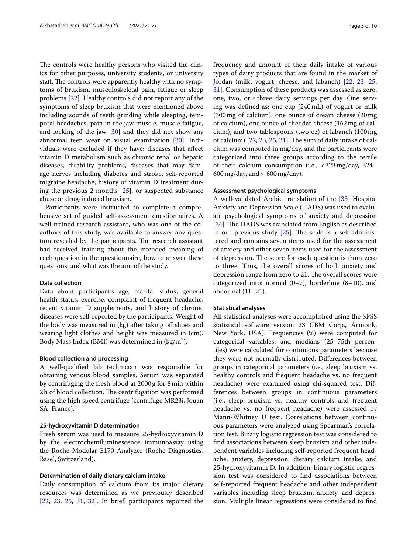The controls were healthy persons who visited the clinics for other purposes, university students, or university staff. The controls were apparently healthy with no symptoms of bruxism, musculoskeletal pain, fatigue or sleep problems [[22\]](#page-9-24). Healthy controls did not report any of the symptoms of sleep bruxism that were mentioned above including sounds of teeth grinding while sleeping, temporal headaches, pain in the jaw muscle, muscle fatigue, and locking of the jaw [\[30\]](#page-9-23) and they did not show any abnormal teen wear on visual examination [\[30](#page-9-23)]. Individuals were excluded if they have: diseases that afect vitamin D metabolism such as chronic renal or hepatic diseases, disability problems, diseases that may damage nerves including diabetes and stroke, self-reported migraine headache, history of vitamin D treatment during the previous 2 months [[25\]](#page-9-18), or suspected substance abuse or drug-induced bruxism.

Participants were instructed to complete a comprehensive set of guided self-assessment questionnaires. A well-trained research assistant, who was one of the coauthors of this study, was available to answer any question revealed by the participants. The research assistant had received training about the intended meaning of each question in the questionnaire, how to answer these questions, and what was the aim of the study.

#### **Data collection**

Data about participant's age, marital status, general health status, exercise, complaint of frequent headache, recent vitamin D supplements, and history of chronic diseases were self-reported by the participants. Weight of the body was measured in (kg) after taking off shoes and wearing light clothes and height was measured in (cm). Body Mass Index (BMI) was determined in (kg/m<sup>2</sup>).

## **Blood collection and processing**

A well-qualifed lab technician was responsible for obtaining venous blood samples. Serum was separated by centrifuging the fresh blood at 2000g for 8min within 2h of blood collection. The centrifugation was performed using the high speed centrifuge (centrifuge MR23i, Jouan SA, France).

#### **25‑hydroxyvitamin D determination**

Fresh serum was used to measure 25-hydroxyvitamin D by the electrochemiluminescence immunoassay using the Roche Modular E170 Analyzer (Roche Diagnostics, Basel, Switzerland).

# **Determination of daily dietary calcium intake**

Daily consumption of calcium from its major dietary resources was determined as we previously described [[22,](#page-9-24) [23](#page-9-16), [25,](#page-9-18) [31](#page-9-25), [32\]](#page-9-26). In brief, participants reported the frequency and amount of their daily intake of various types of dairy products that are found in the market of Jordan (milk, yogurt, cheese, and labaneh) [[22,](#page-9-24) [23](#page-9-16), [25](#page-9-18), [31\]](#page-9-25). Consumption of these products was assessed as zero, one, two, or≥three dairy servings per day. One serving was defned as: one cup (240mL) of yogurt or milk (300mg of calcium), one ounce of cream cheese (20mg of calcium), one ounce of cheddar cheese (162mg of calcium), and two tablespoons (two oz) of labaneh (100mg of calcium)  $[22, 23, 25, 31]$  $[22, 23, 25, 31]$  $[22, 23, 25, 31]$  $[22, 23, 25, 31]$  $[22, 23, 25, 31]$  $[22, 23, 25, 31]$  $[22, 23, 25, 31]$ . The sum of daily intake of calcium was computed in mg/day, and the participants were categorized into three groups according to the tertile of their calcium consumption (i.e., <323mg/day, 324–  $600 \,\text{mg/day}$ , and  $> 600 \,\text{mg/day}$ ).

## **Assessment psychological symptoms**

A well-validated Arabic translation of the [\[33\]](#page-9-27) Hospital Anxiety and Depression Scale (HADS) was used to evaluate psychological symptoms of anxiety and depression [[34\]](#page-9-28). The HADS was translated from English as described in our previous study  $[25]$  $[25]$  $[25]$ . The scale is a self-administered and contains seven items used for the assessment of anxiety and other seven items used for the assessment of depression. The score for each question is from zero to three. Thus, the overall scores of both anxiety and depression range from zero to 21. The overall scores were categorized into: normal (0–7), borderline (8–10), and abnormal (11–21).

## **Statistical analyses**

All statistical analyses were accomplished using the SPSS statistical software version 23 (IBM Corp., Armonk, New York, USA). Frequencies (%) were computed for categorical variables, and medians (25–75th percentiles) were calculated for continuous parameters because they were not normally distributed. Diferences between groups in categorical parameters (i.e., sleep bruxism vs. healthy controls and frequent headache vs. no frequent headache) were examined using chi-squared test. Differences between groups in continuous parameters (i.e., sleep bruxism vs. healthy controls and frequent headache vs. no frequent headache) were assessed by Mann-Whitney U test. Correlations between continuous parameters were analyzed using Spearman's correlation test. Binary logistic regression test was considered to fnd associations between sleep bruxism and other independent variables including self-reported frequent headache, anxiety, depression, dietary calcium intake, and 25-hydroxyvitamin D. In addition, binary logistic regression test was considered to fnd associations between self-reported frequent headache and other independent variables including sleep bruxism, anxiety, and depression. Multiple linear regressions were considered to fnd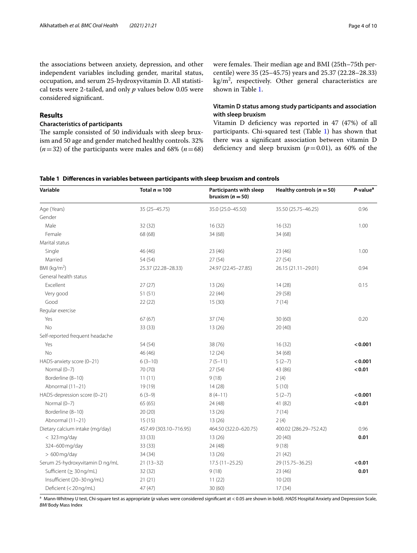the associations between anxiety, depression, and other independent variables including gender, marital status, occupation, and serum 25-hydroxyvitamin D. All statistical tests were 2-tailed, and only *p* values below 0.05 were considered signifcant.

## **Results**

## **Characteristics of participants**

The sample consisted of 50 individuals with sleep bruxism and 50 age and gender matched healthy controls. 32%  $(n=32)$  of the participants were males and 68%  $(n=68)$  were females. Their median age and BMI (25th–75th percentile) were 35 (25–45.75) years and 25.37 (22.28–28.33) kg/m2 , respectively. Other general characteristics are shown in Table [1.](#page-3-0)

# **Vitamin D status among study participants and association with sleep bruxism**

Vitamin D defciency was reported in 47 (47%) of all participants. Chi-squared test (Table [1](#page-3-0)) has shown that there was a signifcant association between vitamin D deficiency and sleep bruxism  $(p=0.01)$ , as 60% of the

## <span id="page-3-0"></span>**Table 1 Diferences in variables between participants with sleep bruxism and controls**

| Variable                        | Total $n = 100$        | Participants with sleep<br>bruxism $(n = 50)$ | Healthy controls ( $n = 50$ ) | P-value <sup>a</sup> |  |
|---------------------------------|------------------------|-----------------------------------------------|-------------------------------|----------------------|--|
| Age (Years)                     | 35 (25-45.75)          | 35.0 (25.0-45.50)                             | 35.50 (25.75-46.25)           | 0.96                 |  |
| Gender                          |                        |                                               |                               |                      |  |
| Male                            | 32 (32)                | 16(32)                                        | 16(32)                        | 1.00                 |  |
| Female                          | 68 (68)                | 34 (68)                                       | 34 (68)                       |                      |  |
| Marital status                  |                        |                                               |                               |                      |  |
| Single                          | 46 (46)                | 23(46)                                        | 23(46)                        | 1.00                 |  |
| Married                         | 54 (54)                | 27(54)                                        | 27(54)                        |                      |  |
| BMI ( $kg/m2$ )                 | 25.37 (22.28-28.33)    | 24.97 (22.45-27.85)                           | 26.15 (21.11-29.01)           | 0.94                 |  |
| General health status           |                        |                                               |                               |                      |  |
| Excellent                       | 27(27)                 | 13(26)                                        | 14(28)                        | 0.15                 |  |
| Very good                       | 51(51)                 | 22(44)                                        | 29 (58)                       |                      |  |
| Good                            | 22(22)                 | 15(30)                                        | 7(14)                         |                      |  |
| Regular exercise                |                        |                                               |                               |                      |  |
| Yes                             | 67(67)                 | 37(74)                                        | 30(60)                        | 0.20                 |  |
| <b>No</b>                       | 33 (33)                | 13(26)                                        | 20(40)                        |                      |  |
| Self-reported frequent headache |                        |                                               |                               |                      |  |
| Yes                             | 54 (54)                | 38 (76)                                       | 16(32)                        | < 0.001              |  |
| <b>No</b>                       | 46 (46)                | 12(24)                                        | 34 (68)                       |                      |  |
| HADS-anxiety score (0-21)       | $6(3-10)$              | $7(5-11)$                                     | $5(2-7)$                      | < 0.001              |  |
| Normal (0-7)                    | 70 (70)                | 27(54)                                        | 43 (86)                       | < 0.01               |  |
| Borderline (8-10)               | 11(11)                 | 9(18)                                         | 2(4)                          |                      |  |
| Abnormal (11-21)                | 19 (19)                | 14(28)                                        | 5(10)                         |                      |  |
| HADS-depression score (0-21)    | $6(3-9)$               | $8(4-11)$                                     | $5(2-7)$                      | < 0.001              |  |
| Normal (0-7)                    | 65(65)                 | 24 (48)                                       | 41 (82)                       | < 0.01               |  |
| Borderline (8-10)               | 20(20)                 | 13(26)                                        | 7(14)                         |                      |  |
| Abnormal (11-21)                | 15(15)                 | 13(26)                                        | 2(4)                          |                      |  |
| Dietary calcium intake (mg/day) | 457.49 (303.10-716.95) | 464.50 (322.0-620.75)                         | 400.02 (286.29-752.42)        | 0.96                 |  |
| $< 323$ mg/day                  | 33(33)                 | 13(26)                                        | 20(40)                        | 0.01                 |  |
| 324-600 mg/day                  | 33 (33)                | 24 (48)                                       | 9(18)                         |                      |  |
| $>600$ mg/day                   | 34 (34)                | 13(26)                                        | 21(42)                        |                      |  |
| Serum 25-hydroxyvitamin D ng/mL | $21(13-32)$            | 17.5 (11-25.25)                               | 29 (15.75 - 36.25)            | < 0.01               |  |
| Sufficient ( $\geq 30$ ng/mL)   | 32 (32)                | 9(18)                                         | 23 (46)                       | 0.01                 |  |
| Insufficient (20-30 ng/mL)      | 21(21)                 | 11(22)                                        | 10(20)                        |                      |  |
| Deficient (<20 ng/mL)           | 47(47)                 | 30 (60)                                       | 17(34)                        |                      |  |

<sup>a</sup> Mann-Whitney U test, Chi-square test as appropriate (*p* values were considered signifcant at < 0.05 are shown in bold). *HADS* Hospital Anxiety and Depression Scale, *BMI* Body Mass Index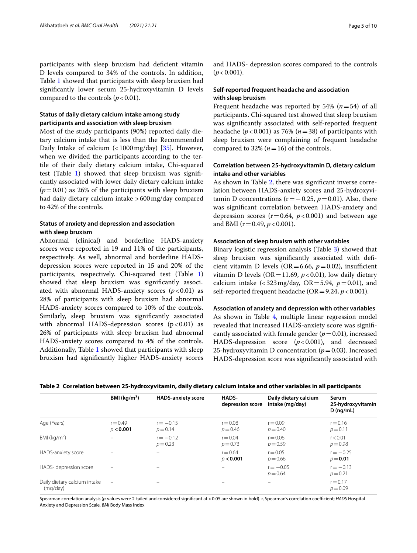participants with sleep bruxism had deficient vitamin D levels compared to 34% of the controls. In addition, Table [1](#page-3-0) showed that participants with sleep bruxism had signifcantly lower serum 25-hydroxyvitamin D levels compared to the controls  $(p < 0.01)$ .

# **Status of daily dietary calcium intake among study participants and association with sleep bruxism**

Most of the study participants (90%) reported daily dietary calcium intake that is less than the Recommended Daily Intake of calcium  $\left($  < 1000 mg/day) [[35](#page-9-29)]. However, when we divided the participants according to the tertile of their daily dietary calcium intake, Chi-squared test (Table  $1$ ) showed that sleep bruxism was significantly associated with lower daily dietary calcium intake (*p*=0.01) as 26% of the participants with sleep bruxism had daily dietary calcium intake >600mg/day compared to 42% of the controls.

# **Status of anxiety and depression and association with sleep bruxism**

Abnormal (clinical) and borderline HADS-anxiety scores were reported in 19 and 11% of the participants, respectively. As well, abnormal and borderline HADSdepression scores were reported in 15 and 20% of the participants, respectively. Chi-squared test (Table [1](#page-3-0)) showed that sleep bruxism was signifcantly associated with abnormal HADS-anxiety scores  $(p<0.01)$  as 28% of participants with sleep bruxism had abnormal HADS-anxiety scores compared to 10% of the controls. Similarly, sleep bruxism was signifcantly associated with abnormal HADS-depression scores  $(p < 0.01)$  as 26% of participants with sleep bruxism had abnormal HADS-anxiety scores compared to 4% of the controls. Additionally, Table [1](#page-3-0) showed that participants with sleep bruxism had signifcantly higher HADS-anxiety scores and HADS- depression scores compared to the controls  $(p < 0.001)$ .

# **Self‑reported frequent headache and association with sleep bruxism**

Frequent headache was reported by 54% (*n*=54) of all participants. Chi-squared test showed that sleep bruxism was signifcantly associated with self-reported frequent headache (*p*<0.001) as 76% (*n*=38) of participants with sleep bruxism were complaining of frequent headache compared to 32% ( $n=16$ ) of the controls.

# **Correlation between 25‑hydroxyvitamin D, dietary calcium intake and other variables**

As shown in Table [2](#page-4-0), there was signifcant inverse correlation between HADS-anxiety scores and 25-hydroxyvitamin D concentrations ( $r = -0.25$ ,  $p = 0.01$ ). Also, there was signifcant correlation between HADS-anxiety and depression scores ( $r=0.64$ ,  $p<0.001$ ) and between age and BMI ( $r = 0.49$ ,  $p < 0.001$ ).

## **Association of sleep bruxism with other variables**

Binary logistic regression analysis (Table [3\)](#page-5-0) showed that sleep bruxism was signifcantly associated with defcient vitamin D levels (OR=6.66,  $p=0.02$ ), insufficient vitamin D levels ( $OR = 11.69$ ,  $p < 0.01$ ), low daily dietary calcium intake  $\left\langle \frac{323 \text{ mg}}{\text{day}} \right\rangle$  OR = 5.94,  $p = 0.01$ ), and self-reported frequent headache ( $OR = 9.24$ ,  $p < 0.001$ ).

## **Association of anxiety and depression with other variables**

As shown in Table [4](#page-5-1), multiple linear regression model revealed that increased HADS-anxiety score was signifcantly associated with female gender  $(p=0.01)$ , increased HADS-depression score (*p*<0.001), and decreased 25-hydroxyvitamin D concentration (*p*=0.03). Increased HADS-depression score was signifcantly associated with

<span id="page-4-0"></span>

|  |  |  |  |  | Table 2  Correlation between 25-hydroxyvitamin, daily dietary calcium intake and other variables in all participants |
|--|--|--|--|--|----------------------------------------------------------------------------------------------------------------------|
|--|--|--|--|--|----------------------------------------------------------------------------------------------------------------------|

|                                          | BMI $(kq/m2)$            | <b>HADS-anxiety score</b> | HADS-<br>depression score | Daily dietary calcium<br>intake (mg/day) | Serum<br>25-hydroxyvitamin |
|------------------------------------------|--------------------------|---------------------------|---------------------------|------------------------------------------|----------------------------|
|                                          |                          |                           |                           |                                          | $D$ (ng/mL)                |
| Age (Years)                              | $r = 0.49$<br>p < 0.001  | $r = -0.15$<br>$p = 0.14$ | $r = 0.08$<br>$p = 0.46$  | $r = 0.09$<br>$p = 0.40$                 | $r = 0.16$<br>$p = 0.11$   |
| BMI ( $kg/m2$ )                          |                          | $r = -0.12$<br>$p = 0.23$ | $r = 0.04$<br>$p = 0.73$  | $r = 0.06$<br>$p = 0.59$                 | r < 0.01<br>$p = 0.98$     |
| HADS-anxiety score                       |                          | $\qquad \qquad$           | $r = 0.64$<br>p < 0.001   | $r = 0.05$<br>$p = 0.66$                 | $r = -0.25$<br>$p = 0.01$  |
| HADS-depression score                    |                          |                           |                           | $r = -0.05$<br>$p = 0.64$                | $r = -0.13$<br>$p = 0.21$  |
| Daily dietary calcium intake<br>(mg/day) | $\overline{\phantom{m}}$ | -                         |                           | $\overline{\phantom{0}}$                 | $r = 0.17$<br>$p = 0.09$   |

Spearman correlation analysis (*p*-values were 2-tailed and considered signifcant at <0.05 are shown in bold). r, Spearman's correlation coefcient; *HADS* Hospital Anxiety and Depression Scale, *BMI* Body Mass Index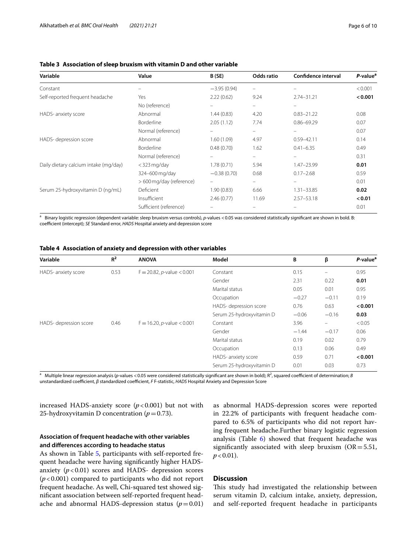| Variable                              | Value                    | B(SE)             | Odds ratio | Confidence interval | P-value <sup>a</sup> |
|---------------------------------------|--------------------------|-------------------|------------|---------------------|----------------------|
| Constant                              |                          | $-3.95(0.94)$     | -          |                     | < 0.001              |
| Self-reported frequent headache       | Yes                      | 2.22(0.62)        | 9.24       | $2.74 - 31.21$      | < 0.001              |
|                                       | No (reference)           |                   |            |                     |                      |
| HADS- anxiety score                   | Abnormal                 | 1.44(0.83)        | 4.20       | $0.83 - 21.22$      | 0.08                 |
|                                       | <b>Borderline</b>        | 2.05(1.12)        | 7.74       | $0.86 - 69.29$      | 0.07                 |
|                                       | Normal (reference)       | $\qquad \qquad -$ | -          | $\equiv$            | 0.07                 |
| HADS- depression score                | Abnormal                 | 1.60(1.09)        | 4.97       | $0.59 - 42.11$      | 0.14                 |
|                                       | <b>Borderline</b>        | 0.48(0.70)        | 1.62       | $0.41 - 6.35$       | 0.49                 |
|                                       | Normal (reference)       |                   |            |                     | 0.31                 |
| Daily dietary calcium intake (mg/day) | $<$ 323 mg/day           | 1.78(0.71)        | 5.94       | 1.47-23.99          | 0.01                 |
|                                       | 324-600 mg/day           | $-0.38(0.70)$     | 0.68       | $0.17 - 2.68$       | 0.59                 |
|                                       | > 600 mg/day (reference) |                   |            |                     | 0.01                 |
| Serum 25-hydroxyvitamin D (ng/mL)     | Deficient                | 1.90(0.83)        | 6.66       | $1.31 - 33.85$      | 0.02                 |
|                                       | Insufficient             | 2.46(0.77)        | 11.69      | $2.57 - 53.18$      | < 0.01               |
|                                       | Sufficient (reference)   |                   |            |                     | 0.01                 |

## <span id="page-5-0"></span>**Table 3 Association of sleep bruxism with vitamin D and other variable**

Binary logistic regression (dependent variable: sleep bruxism versus controls), p-values <0.05 was considered statistically significant are shown in bold. B: coefficient (intercept); *SE* Standard error, *HADS* Hospital anxiety and depression score

<span id="page-5-1"></span>

|  | Table 4 Association of anxiety and depression with other variables |  |  |  |  |  |  |
|--|--------------------------------------------------------------------|--|--|--|--|--|--|
|--|--------------------------------------------------------------------|--|--|--|--|--|--|

| $R^2$ | <b>ANOVA</b>                          | Model                     | B       | β                        | P-value <sup>a</sup> |
|-------|---------------------------------------|---------------------------|---------|--------------------------|----------------------|
| 0.53  | $F = 20.82$ , <i>p</i> -value < 0.001 | Constant                  | 0.15    | $\overline{\phantom{m}}$ | 0.95                 |
|       |                                       | Gender                    | 2.31    | 0.22                     | 0.01                 |
|       |                                       | Marital status            | 0.05    | 0.01                     | 0.95                 |
|       |                                       | Occupation                | $-0.27$ | $-0.11$                  | 0.19                 |
|       |                                       | HADS-depression score     | 0.76    | 0.63                     | < 0.001              |
|       |                                       | Serum 25-hydroxyvitamin D | $-0.06$ | $-0.16$                  | 0.03                 |
| 0.46  | $F = 16.20$ , <i>p</i> -value < 0.001 | Constant                  | 3.96    | -                        | < 0.05               |
|       |                                       | Gender                    | $-1.44$ | $-0.17$                  | 0.06                 |
|       |                                       | Marital status            | 0.19    | 0.02                     | 0.79                 |
|       |                                       | Occupation                | 0.13    | 0.06                     | 0.49                 |
|       |                                       | HADS- anxiety score       | 0.59    | 0.71                     | < 0.001              |
|       |                                       | Serum 25-hydroxyvitamin D | 0.01    | 0.03                     | 0.73                 |
|       |                                       |                           |         |                          |                      |

<sup>a</sup> Multiple linear regression analysis (p-values < 0.05 were considered statistically significant are shown in bold); R<sup>2</sup>, squared coefficient of determination; *B* unstandardized coefficient, β standardized coefficient, *F* F-statistic, *HADS* Hospital Anxiety and Depression Score

increased HADS-anxiety score  $(p<0.001)$  but not with 25-hydroxyvitamin D concentration ( $p=0.73$ ).

## **Association of frequent headache with other variables and diferences according to headache status**

As shown in Table [5](#page-6-0), participants with self-reported frequent headache were having signifcantly higher HADSanxiety  $(p<0.01)$  scores and HADS- depression scores (*p*<0.001) compared to participants who did not report frequent headache. As well, Chi-squared test showed signifcant association between self-reported frequent headache and abnormal HADS-depression status  $(p=0.01)$ 

as abnormal HADS-depression scores were reported in 22.2% of participants with frequent headache compared to 6.5% of participants who did not report having frequent headache.Further binary logistic regression analysis (Table [6](#page-6-1)) showed that frequent headache was significantly associated with sleep bruxism ( $OR = 5.51$ ,  $p < 0.01$ ).

## **Discussion**

This study had investigated the relationship between serum vitamin D, calcium intake, anxiety, depression, and self-reported frequent headache in participants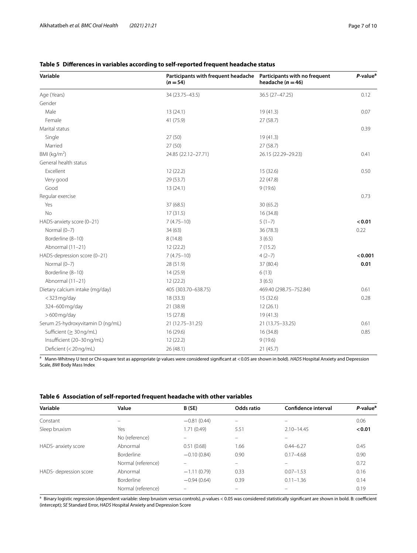# **Variable Participants with frequent headache**   $(n = 54)$ **Participants with no frequent headache (***n* **=46)** *P***-value<sup>a</sup>** Age (Years) 34 (23.75–43.5) 36.5 (27–47.25) 36.5 (27–47.25) 0.12 Gender Male 13 (24.1) 19 (41.3) 0.07 Female 41 (75.9) 27 (58.7) Marital status 0.39 Single 27 (50) 27 (50) 27 (50) 27 (50) 27 (50 (41.3) Married 27 (50) 27 (58.7) BMI ( $kg/m<sup>2</sup>$ ) ) 24.85 (22.12–27.71) 26.15 (22.29–29.23) 0.41 General health status Excellent 12 (22.2) 15 (32.6) 0.50 Very good 29 (53.7) 22 (47.8) Good 13 (24.1) 9 (19.6) Regular exercise 0.73 Yes 37 (68.5) 37 (68.5) 37 (68.5) 37 (68.5) No  $17(31.5)$  16 (34.8) HADS-anxiety score (0–21) **3** (4.75–10) **5** (1–7) **5** (1–7) **5 5** (1–7) **5 5** (1–7) **5 5** (1–7) **5 5** (1–7) **5 5 1** Normal (0–7) 6.22 (63) 34 (63) 34 (63) 36 (78.3) 36 (78.3) 36 (78.3) Borderline (8–10) 8 (14.8) 8 (14.8) 3 (6.5) Abnormal (11–21) 12 (22.2) 7 (15.2) HADS-depression score (0–21) 7 (4.75–10) 4 (2–7) **<0.001** Normal (0–7) 28 (51.9) 37 (80.4) **0.01** Borderline (8–10) 14 (25.9) 6 (13) Abnormal (11–21) 12 (22.2) 3 (6.5) Dietary calcium intake (mg/day) 405 (303.70–638.75) 469.40 (298.75–752.84) 0.61 <323mg/day 18 (33.3) 15 (32.6) 0.28 324–600 mg/day 21 (38.9) 21 (38.9) 21 (38.9) 224–600 mg/day 21 (36.1) >600mg/day 15 (27.8) 19 (41.3) Serum 25-hydroxyvitamin D (ng/mL) 21 (12.75–31.25) 21 (13.75–33.25) 0.61 Sufficient (≥ 30 ng/mL) 16 (29.6) 16 (29.6) 16 (34.8) 16 (34.8) 0.85 Insufficient (20–30 ng/mL) 12 (22.2) 9 (19.6) Defcient (<20ng/mL) 26 (48.1) 21 (45.7)

## <span id="page-6-0"></span>**Table 5 Diferences in variables according to self-reported frequent headache status**

<sup>a</sup> Mann-Whitney U test or Chi-square test as appropriate (*p* values were considered significant at <0.05 are shown in bold). *HADS* Hospital Anxiety and Depression Scale, *BMI* Body Mass Index

<span id="page-6-1"></span>

|  |  | Table 6 Association of self-reported frequent headache with other variables |
|--|--|-----------------------------------------------------------------------------|
|--|--|-----------------------------------------------------------------------------|

| Variable              | Value              | B(SE)                    | Odds ratio | <b>Confidence interval</b> | $P$ -value <sup>a</sup> |
|-----------------------|--------------------|--------------------------|------------|----------------------------|-------------------------|
| Constant              |                    | $-0.81(0.44)$            | $\equiv$   |                            | 0.06                    |
| Sleep bruxism         | Yes                | 1.71 (0.49)              | 5.51       | $2.10 - 14.45$             | < 0.01                  |
|                       | No (reference)     |                          |            |                            |                         |
| HADS- anxiety score   | Abnormal           | 0.51(0.68)               | 1.66       | $0.44 - 6.27$              | 0.45                    |
|                       | Borderline         | $-0.10(0.84)$            | 0.90       | $0.17 - 4.68$              | 0.90                    |
|                       | Normal (reference) |                          | -          |                            | 0.72                    |
| HADS-depression score | Abnormal           | $-1.11(0.79)$            | 0.33       | $0.07 - 1.53$              | 0.16                    |
|                       | <b>Borderline</b>  | $-0.94(0.64)$            | 0.39       | $0.11 - 1.36$              | 0.14                    |
|                       | Normal (reference) | $\overline{\phantom{0}}$ |            |                            | 0.19                    |

<sup>a</sup> Binary logistic regression (dependent variable: sleep bruxism versus controls), p-values < 0.05 was considered statistically significant are shown in bold. B: coefficient (intercept); *SE* Standard Error, *HADS* Hospital Anxiety and Depression Score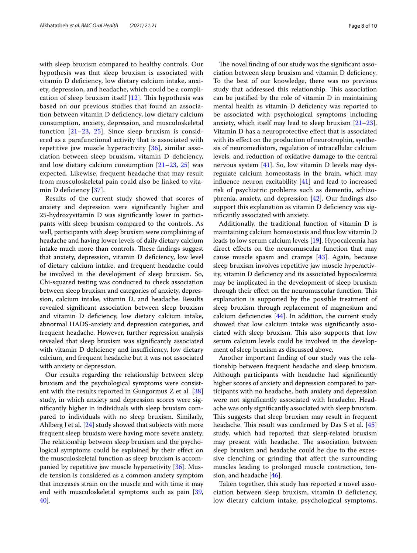with sleep bruxism compared to healthy controls. Our hypothesis was that sleep bruxism is associated with vitamin D defciency, low dietary calcium intake, anxiety, depression, and headache, which could be a complication of sleep bruxism itself  $[12]$  $[12]$ . This hypothesis was based on our previous studies that found an association between vitamin D defciency, low dietary calcium consumption, anxiety, depression, and musculoskeletal function  $[21-23, 25]$  $[21-23, 25]$  $[21-23, 25]$  $[21-23, 25]$  $[21-23, 25]$ . Since sleep bruxism is considered as a parafunctional activity that is associated with repetitive jaw muscle hyperactivity [[36\]](#page-9-30), similar association between sleep bruxism, vitamin D defciency, and low dietary calcium consumption  $[21-23, 25]$  $[21-23, 25]$  $[21-23, 25]$  $[21-23, 25]$  $[21-23, 25]$  was expected. Likewise, frequent headache that may result from musculoskeletal pain could also be linked to vita-min D deficiency [[37](#page-9-31)].

Results of the current study showed that scores of anxiety and depression were signifcantly higher and 25-hydroxyvitamin D was signifcantly lower in participants with sleep bruxism compared to the controls. As well, participants with sleep bruxism were complaining of headache and having lower levels of daily dietary calcium intake much more than controls. These findings suggest that anxiety, depression, vitamin D defciency, low level of dietary calcium intake, and frequent headache could be involved in the development of sleep bruxism. So, Chi-squared testing was conducted to check association between sleep bruxism and categories of anxiety, depression, calcium intake, vitamin D, and headache. Results revealed signifcant association between sleep bruxism and vitamin D defciency, low dietary calcium intake, abnormal HADS-anxiety and depression categories, and frequent headache. However, further regression analysis revealed that sleep bruxism was signifcantly associated with vitamin D deficiency and insufficiency, low dietary calcium, and frequent headache but it was not associated with anxiety or depression.

Our results regarding the relationship between sleep bruxism and the psychological symptoms were consistent with the results reported in Gungormus Z et al. [[38](#page-9-32)] study, in which anxiety and depression scores were signifcantly higher in individuals with sleep bruxism compared to individuals with no sleep bruxism. Similarly, Ahlberg J et al. [[24\]](#page-9-17) study showed that subjects with more frequent sleep bruxism were having more severe anxiety. The relationship between sleep bruxism and the psychological symptoms could be explained by their efect on the musculoskeletal function as sleep bruxism is accompanied by repetitive jaw muscle hyperactivity [\[36](#page-9-30)]. Muscle tension is considered as a common anxiety symptom that increases strain on the muscle and with time it may end with musculoskeletal symptoms such as pain [\[39](#page-9-33), [40\]](#page-9-34).

The novel finding of our study was the significant association between sleep bruxism and vitamin D defciency. To the best of our knowledge, there was no previous study that addressed this relationship. This association can be justifed by the role of vitamin D in maintaining mental health as vitamin D defciency was reported to be associated with psychological symptoms including anxiety, which itself may lead to sleep bruxism [[21](#page-9-15)[–23](#page-9-16)]. Vitamin D has a neuroprotective efect that is associated with its efect on the production of neurotrophin, synthesis of neuromediators, regulation of intracellular calcium levels, and reduction of oxidative damage to the central nervous system [[41\]](#page-9-35). So, low vitamin D levels may dysregulate calcium homeostasis in the brain, which may infuence neuron excitability [[41\]](#page-9-35) and lead to increased risk of psychiatric problems such as dementia, schizophrenia, anxiety, and depression [[42\]](#page-9-36). Our fndings also support this explanation as vitamin D deficiency was signifcantly associated with anxiety.

Additionally, the traditional function of vitamin D is maintaining calcium homeostasis and thus low vitamin D leads to low serum calcium levels [\[19](#page-9-13)]. Hypocalcemia has direct efects on the neuromuscular function that may cause muscle spasm and cramps [[43](#page-9-37)]. Again, because sleep bruxism involves repetitive jaw muscle hyperactivity, vitamin D defciency and its associated hypocalcemia may be implicated in the development of sleep bruxism through their effect on the neuromuscular function. This explanation is supported by the possible treatment of sleep bruxism through replacement of magnesium and calcium deficiencies  $[44]$  $[44]$ . In addition, the current study showed that low calcium intake was signifcantly associated with sleep bruxism. This also supports that low serum calcium levels could be involved in the development of sleep bruxism as discussed above.

Another important fnding of our study was the relationship between frequent headache and sleep bruxism. Although participants with headache had signifcantly higher scores of anxiety and depression compared to participants with no headache, both anxiety and depression were not signifcantly associated with headache. Headache was only signifcantly associated with sleep bruxism. This suggests that sleep bruxism may result in frequent headache. This result was confirmed by Das S et al.  $[45]$  $[45]$  $[45]$ study, which had reported that sleep-related bruxism may present with headache. The association between sleep bruxism and headache could be due to the excessive clenching or grinding that afect the surrounding muscles leading to prolonged muscle contraction, tension, and headache [[46\]](#page-9-40).

Taken together, this study has reported a novel association between sleep bruxism, vitamin D deficiency, low dietary calcium intake, psychological symptoms,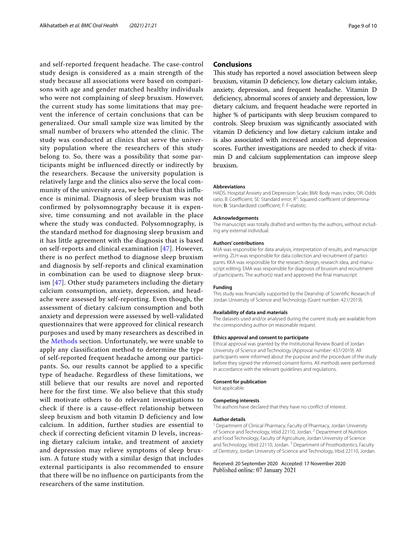and self-reported frequent headache. The case-control study design is considered as a main strength of the study because all associations were based on comparisons with age and gender matched healthy individuals who were not complaining of sleep bruxism. However, the current study has some limitations that may prevent the inference of certain conclusions that can be generalized. Our small sample size was limited by the small number of bruxers who attended the clinic. The study was conducted at clinics that serve the university population where the researchers of this study belong to. So, there was a possibility that some participants might be influenced directly or indirectly by the researchers. Because the university population is relatively large and the clinics also serve the local community of the university area, we believe that this influence is minimal. Diagnosis of sleep bruxism was not confirmed by polysomnography because it is expensive, time consuming and not available in the place where the study was conducted. Polysomnography, is the standard method for diagnosing sleep bruxism and it has little agreement with the diagnosis that is based on self-reports and clinical examination [\[47](#page-9-41)]. However, there is no perfect method to diagnose sleep bruxism and diagnosis by self-reports and clinical examination in combination can be used to diagnose sleep bruxism [[47](#page-9-41)]. Other study parameters including the dietary calcium consumption, anxiety, depression, and headache were assessed by self-reporting. Even though, the assessment of dietary calcium consumption and both anxiety and depression were assessed by well-validated questionnaires that were approved for clinical research purposes and used by many researchers as described in the [Methods](#page-1-0) section. Unfortunately, we were unable to apply any classification method to determine the type of self-reported frequent headache among our participants. So, our results cannot be applied to a specific type of headache. Regardless of these limitations, we still believe that our results are novel and reported here for the first time. We also believe that this study will motivate others to do relevant investigations to check if there is a cause-effect relationship between sleep bruxism and both vitamin D deficiency and low calcium. In addition, further studies are essential to check if correcting deficient vitamin D levels, increasing dietary calcium intake, and treatment of anxiety and depression may relieve symptoms of sleep bruxism. A future study with a similar design that includes external participants is also recommended to ensure that there will be no influence on participants from the researchers of the same institution.

## **Conclusions**

This study has reported a novel association between sleep bruxism, vitamin D defciency, low dietary calcium intake, anxiety, depression, and frequent headache. Vitamin D deficiency, abnormal scores of anxiety and depression, low dietary calcium, and frequent headache were reported in higher % of participants with sleep bruxism compared to controls. Sleep bruxism was signifcantly associated with vitamin D defciency and low dietary calcium intake and is also associated with increased anxiety and depression scores. Further investigations are needed to check if vitamin D and calcium supplementation can improve sleep bruxism.

#### **Abbreviations**

HADS: Hospital Anxiety and Depression Scale; BMI: Body mass index; OR: Odds ratio; B: Coefficient; SE: Standard error; R<sup>2</sup>: Squared coefficient of determination; **B**: Standardized coefficient; F: F-statistic.

#### **Acknowledgements**

The manuscript was totally drafted and written by the authors, without including any external individual.

#### **Authors' contributions**

MJA was responsible for data analysis, interpretation of results, and manuscript writing. ZLH was responsible for data collection and recruitment of participants. KKA was responsible for the research design, research idea, and manuscript editing. EMA was responsible for diagnosis of bruxism and recruitment of participants. The author(s) read and approved the fnal manuscript.

#### **Funding**

This study was fnancially supported by the Deanship of Scientifc Research of Jordan University of Science and Technology (Grant number: 421/2019).

#### **Availability of data and materials**

The datasets used and/or analysed during the current study are available from the corresponding author on reasonable request.

#### **Ethics approval and consent to participate**

Ethical approval was granted by the Institutional Review Board of Jordan University of Science and Technology (Approval number: 437/2019). All participants were informed about the purpose and the procedure of the study before they signed the informed consent forms. All methods were performed in accordance with the relevant guidelines and regulations.

## **Consent for publication**

Not applicable.

#### **Competing interests**

The authors have declared that they have no confict of interest.

#### **Author details**

<sup>1</sup> Department of Clinical Pharmacy, Faculty of Pharmacy, Jordan University of Science and Technology, Irbid 22110, Jordan. <sup>2</sup> Department of Nutrition and Food Technology, Faculty of Agriculture, Jordan University of Science and Technology, Irbid 22110, Jordan.<sup>3</sup> Department of Prosthodontics, Faculty of Dentistry, Jordan University of Science and Technology, Irbid 22110, Jordan.

Received: 20 September 2020 Accepted: 17 November 2020Published online: 07 January 2021